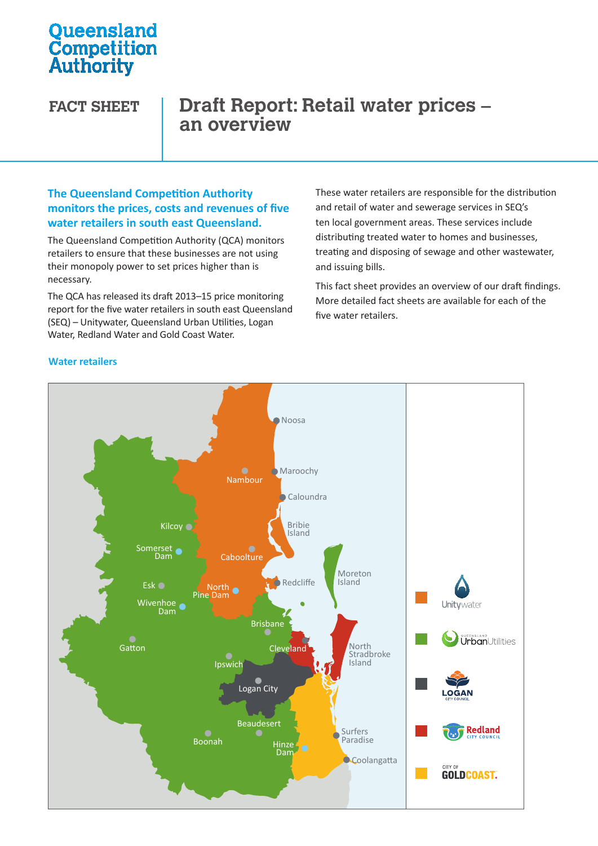# Queensland **Competition**<br>Authority

**FACT SHEET Draft Report: Retail water prices – an overview**

# **The Queensland Competition Authority monitors the prices, costs and revenues of five water retailers in south east Queensland.**

The Queensland Competition Authority (QCA) monitors retailers to ensure that these businesses are not using it. their monopoly power to set prices higher than is necessary.

The QCA has released its draft 2013–15 price monitoring report for the five water retailers in south east Queensland Eugeneer retails (SEQ) – Unitywater, Queensland Urban Utilities, Logan Urban Utilities Water Water, Redland Water and Gold Coast Water. Customers residential and non-residential

These water retailers are responsible for the distribution and retail of water and sewerage services in SEQ's ten local government areas. These services include distributing treated water to homes and businesses, treating and disposing of sewage and other wastewater, and issuing bills.

This fact sheet provides an overview of our draft findings. More detailed fact sheets are available for each of the five water retailers.

#### Noosa **Maroochy** Nambour Caloundra Bribie Kilcoy ( Island Somerset Somerset Caboolture Dam Moreton **Redcliffe** Island Esk North Pine Dam Wivenhoe Unitvwater Dam Brisbane **Urban**Utilities Gatton **North** Cleveland Stradbroke Ipswich Island Logan City **OGAN Beaudesert Redland** Surfers Paradise Boonah Hinze<sup>7</sup> Dam **Coolangatta GOLDCOAST.**

## **Water retailers**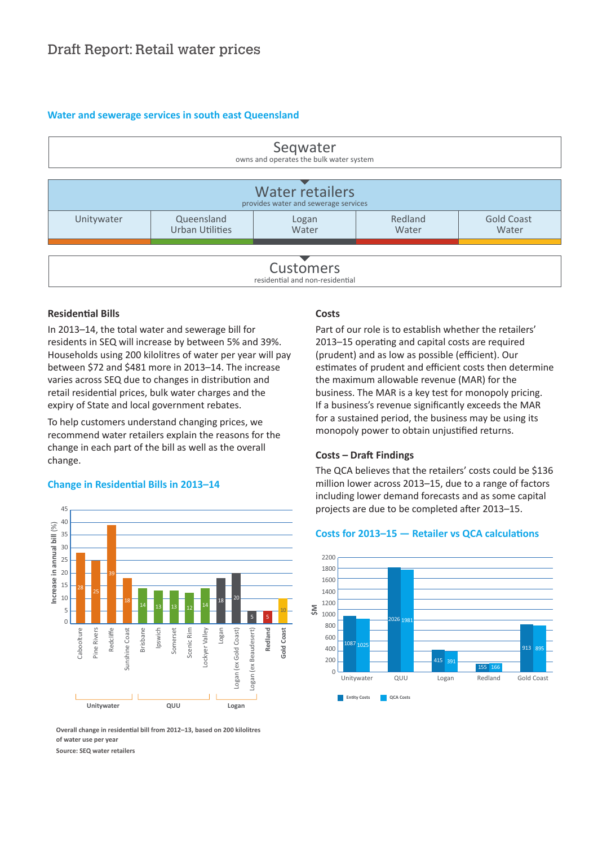## **Water and sewerage services in south east Queensland**



#### **Residential Bills**

In 2013–14, the total water and sewerage bill for residents in SEQ will increase by between 5% and 39%. Households using 200 kilolitres of water per year will pay between \$72 and \$481 more in 2013–14. The increase varies across SEQ due to changes in distribution and retail residential prices, bulk water charges and the expiry of State and local government rebates.

To help customers understand changing prices, we recommend water retailers explain the reasons for the recommend water retailers explain the reasons for thange in each part of the bill as well as the overall change. change.

#### **Change in Residential Bills in 2013–14**



**Overall change in residential bill from 2012–13, based on 200 kilolitres**  Lockyer **of water use per year** 

**Source: SEQ water retailers**

# **Costs** 35

Part of our role is to establish whether the retailers' 2013-15 operating and capital costs are required (prudent) and as low as possible (efficient). Our estimates of prudent and efficient costs then determine estimates of prudent and emclent costs then de<br>the maximum allowable revenue (MAR) for the the maximum allowable revenue (MAR) for the<br>business. The MAR is a key test for monopoly pricing. If a business's revenue significantly exceeds the MAR for a sustained period, the business may be using its<br>monopoly power to obtain unjustified returns. monopoly power to obtain unjustified returns. **Increase**<br>Pape in an<br>Increase in the set of the set of the set of the set of the set of the set of the set of the set of the set of<br>Increase in the set of the set of the set of the set of the set of the set of the set of us<br>OC ir<br>P ni<br>Su us<br>n e<br><sub>it</sub> n<br>Po L<br>n n<br>I<br>h

# **Costs – Draft Findings**

The QCA believes that the retailers' costs could be \$136 million lower across 2013-15, due to a range of factors infinition lower across 2013–15, due to a range of factors projects are due to be completed after 2013–15.

# **Costs for 2013–15 — Retailer vs QCA calculations** Bribie